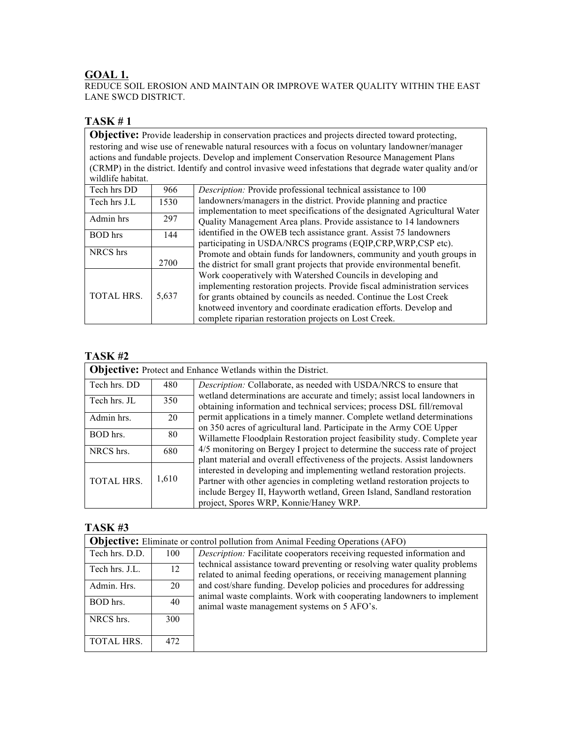### **GOAL 1.**

REDUCE SOIL EROSION AND MAINTAIN OR IMPROVE WATER QUALITY WITHIN THE EAST LANE SWCD DISTRICT.

## **TASK # 1**

**Objective:** Provide leadership in conservation practices and projects directed toward protecting, restoring and wise use of renewable natural resources with a focus on voluntary landowner/manager actions and fundable projects. Develop and implement Conservation Resource Management Plans (CRMP) in the district. Identify and control invasive weed infestations that degrade water quality and/or wildlife habitat. Tech hrs DD 966 Description: Provide professional technical assistance to 100

| Tech iiis DD      | <b>200</b> | <i>Description</i> . Frovide professional technical assistance to 100      |
|-------------------|------------|----------------------------------------------------------------------------|
| Tech hrs J.L      | 1530       | landowners/managers in the district. Provide planning and practice         |
|                   |            | implementation to meet specifications of the designated Agricultural Water |
| Admin hrs         | 297        | Quality Management Area plans. Provide assistance to 14 landowners         |
| <b>BOD</b> hrs    | 144        | identified in the OWEB tech assistance grant. Assist 75 landowners         |
|                   |            | participating in USDA/NRCS programs (EQIP, CRP, WRP, CSP etc).             |
| NRCS hrs          |            | Promote and obtain funds for landowners, community and youth groups in     |
|                   | 2700       | the district for small grant projects that provide environmental benefit.  |
|                   |            | Work cooperatively with Watershed Councils in developing and               |
|                   |            | implementing restoration projects. Provide fiscal administration services  |
| <b>TOTAL HRS.</b> | 5,637      | for grants obtained by councils as needed. Continue the Lost Creek         |
|                   |            | knotweed inventory and coordinate eradication efforts. Develop and         |
|                   |            | complete riparian restoration projects on Lost Creek.                      |

### **TASK #2**

| <b>Objective:</b> Protect and Enhance Wetlands within the District. |       |                                                                                                                                                                                                                                                                                                                                                                                                                                                                                                                                                                                                                                                                                                                                                                                                                                  |  |
|---------------------------------------------------------------------|-------|----------------------------------------------------------------------------------------------------------------------------------------------------------------------------------------------------------------------------------------------------------------------------------------------------------------------------------------------------------------------------------------------------------------------------------------------------------------------------------------------------------------------------------------------------------------------------------------------------------------------------------------------------------------------------------------------------------------------------------------------------------------------------------------------------------------------------------|--|
| Tech hrs. DD                                                        | 480   | Description: Collaborate, as needed with USDA/NRCS to ensure that                                                                                                                                                                                                                                                                                                                                                                                                                                                                                                                                                                                                                                                                                                                                                                |  |
| Tech hrs. JL                                                        | 350   | wetland determinations are accurate and timely; assist local landowners in<br>obtaining information and technical services; process DSL fill/removal<br>permit applications in a timely manner. Complete wetland determinations<br>on 350 acres of agricultural land. Participate in the Army COE Upper<br>Willamette Floodplain Restoration project feasibility study. Complete year<br>4/5 monitoring on Bergey I project to determine the success rate of project<br>plant material and overall effectiveness of the projects. Assist landowners<br>interested in developing and implementing wetland restoration projects.<br>Partner with other agencies in completing wetland restoration projects to<br>include Bergey II, Hayworth wetland, Green Island, Sandland restoration<br>project, Spores WRP, Konnie/Haney WRP. |  |
| Admin hrs.                                                          | 20    |                                                                                                                                                                                                                                                                                                                                                                                                                                                                                                                                                                                                                                                                                                                                                                                                                                  |  |
| BOD hrs.                                                            | 80    |                                                                                                                                                                                                                                                                                                                                                                                                                                                                                                                                                                                                                                                                                                                                                                                                                                  |  |
| NRCS hrs.                                                           | 680   |                                                                                                                                                                                                                                                                                                                                                                                                                                                                                                                                                                                                                                                                                                                                                                                                                                  |  |
| <b>TOTAL HRS.</b>                                                   | 1,610 |                                                                                                                                                                                                                                                                                                                                                                                                                                                                                                                                                                                                                                                                                                                                                                                                                                  |  |
|                                                                     |       |                                                                                                                                                                                                                                                                                                                                                                                                                                                                                                                                                                                                                                                                                                                                                                                                                                  |  |

|                | <b>Objective:</b> Eliminate or control pollution from Animal Feeding Operations (AFO) |                                                                                                                                                      |  |  |
|----------------|---------------------------------------------------------------------------------------|------------------------------------------------------------------------------------------------------------------------------------------------------|--|--|
| Tech hrs. D.D. | 100                                                                                   | Description: Facilitate cooperators receiving requested information and                                                                              |  |  |
| Tech hrs. J.L. | 12                                                                                    | technical assistance toward preventing or resolving water quality problems<br>related to animal feeding operations, or receiving management planning |  |  |
| Admin. Hrs.    | 20                                                                                    | and cost/share funding. Develop policies and procedures for addressing<br>animal waste complaints. Work with cooperating landowners to implement     |  |  |
| BOD hrs.       | 40                                                                                    | animal waste management systems on 5 AFO's.                                                                                                          |  |  |
| NRCS hrs.      | 300                                                                                   |                                                                                                                                                      |  |  |
| TOTAL HRS.     | 472                                                                                   |                                                                                                                                                      |  |  |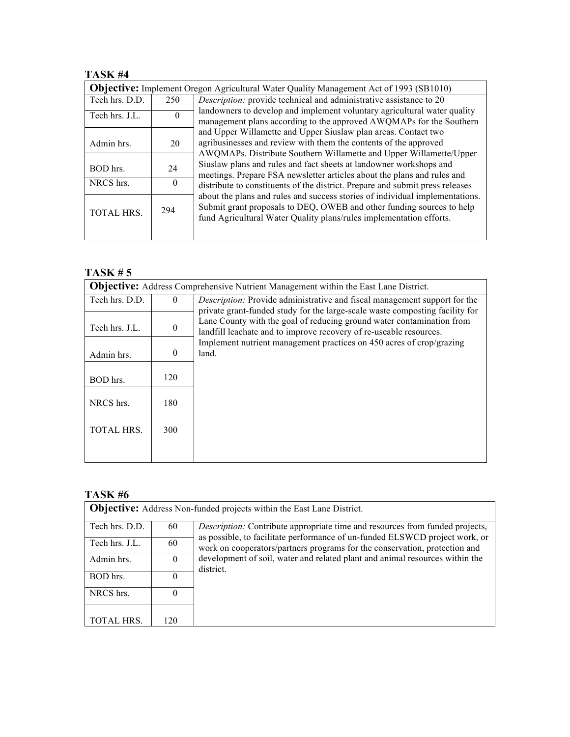# **TASK #4**

| <b>Objective:</b> Implement Oregon Agricultural Water Quality Management Act of 1993 (SB1010) |          |                                                                                                                                                                                                                                                                                                                                                                                                                                                                                                                                                                                                                                                                                                                                                                                                                               |
|-----------------------------------------------------------------------------------------------|----------|-------------------------------------------------------------------------------------------------------------------------------------------------------------------------------------------------------------------------------------------------------------------------------------------------------------------------------------------------------------------------------------------------------------------------------------------------------------------------------------------------------------------------------------------------------------------------------------------------------------------------------------------------------------------------------------------------------------------------------------------------------------------------------------------------------------------------------|
| Tech hrs. D.D.                                                                                | 250      | Description: provide technical and administrative assistance to 20                                                                                                                                                                                                                                                                                                                                                                                                                                                                                                                                                                                                                                                                                                                                                            |
| Tech hrs. J.L.                                                                                | $\Omega$ | landowners to develop and implement voluntary agricultural water quality<br>management plans according to the approved AWQMAPs for the Southern<br>and Upper Willamette and Upper Siuslaw plan areas. Contact two<br>agribusinesses and review with them the contents of the approved<br>AWQMAPs. Distribute Southern Willamette and Upper Willamette/Upper<br>Siuslaw plans and rules and fact sheets at landowner workshops and<br>meetings. Prepare FSA newsletter articles about the plans and rules and<br>distribute to constituents of the district. Prepare and submit press releases<br>about the plans and rules and success stories of individual implementations.<br>Submit grant proposals to DEQ, OWEB and other funding sources to help<br>fund Agricultural Water Quality plans/rules implementation efforts. |
| Admin hrs.                                                                                    | 20       |                                                                                                                                                                                                                                                                                                                                                                                                                                                                                                                                                                                                                                                                                                                                                                                                                               |
| BOD hrs.                                                                                      | 24       |                                                                                                                                                                                                                                                                                                                                                                                                                                                                                                                                                                                                                                                                                                                                                                                                                               |
| NRCS hrs.                                                                                     | $\Omega$ |                                                                                                                                                                                                                                                                                                                                                                                                                                                                                                                                                                                                                                                                                                                                                                                                                               |
| TOTAL HRS.                                                                                    | 294      |                                                                                                                                                                                                                                                                                                                                                                                                                                                                                                                                                                                                                                                                                                                                                                                                                               |

# **TASK # 5**

|                   | <b>Objective:</b> Address Comprehensive Nutrient Management within the East Lane District. |                                                                                                                                                                                                                             |  |  |
|-------------------|--------------------------------------------------------------------------------------------|-----------------------------------------------------------------------------------------------------------------------------------------------------------------------------------------------------------------------------|--|--|
| Tech hrs. D.D.    | $\Omega$                                                                                   | <i>Description:</i> Provide administrative and fiscal management support for the                                                                                                                                            |  |  |
| Tech hrs. J.L.    | $\theta$                                                                                   | private grant-funded study for the large-scale waste composting facility for<br>Lane County with the goal of reducing ground water contamination from<br>landfill leachate and to improve recovery of re-useable resources. |  |  |
| Admin hrs.        | $\theta$                                                                                   | Implement nutrient management practices on 450 acres of crop/grazing<br>land.                                                                                                                                               |  |  |
| BOD hrs.          | 120                                                                                        |                                                                                                                                                                                                                             |  |  |
| NRCS hrs.         | 180                                                                                        |                                                                                                                                                                                                                             |  |  |
| <b>TOTAL HRS.</b> | 300                                                                                        |                                                                                                                                                                                                                             |  |  |
|                   |                                                                                            |                                                                                                                                                                                                                             |  |  |

| <b>Objective:</b> Address Non-funded projects within the East Lane District. |          |                                                                                                                                                           |  |
|------------------------------------------------------------------------------|----------|-----------------------------------------------------------------------------------------------------------------------------------------------------------|--|
| Tech hrs. D.D.                                                               | 60       | Description: Contribute appropriate time and resources from funded projects,                                                                              |  |
| Tech hrs. J.L.                                                               | 60       | as possible, to facilitate performance of un-funded ELSWCD project work, or<br>work on cooperators/partners programs for the conservation, protection and |  |
| Admin hrs.                                                                   | $\Omega$ | development of soil, water and related plant and animal resources within the<br>district.                                                                 |  |
| BOD hrs.                                                                     | $\Omega$ |                                                                                                                                                           |  |
| NRCS hrs.                                                                    | $\Omega$ |                                                                                                                                                           |  |
| <b>TOTAL HRS.</b>                                                            | 120      |                                                                                                                                                           |  |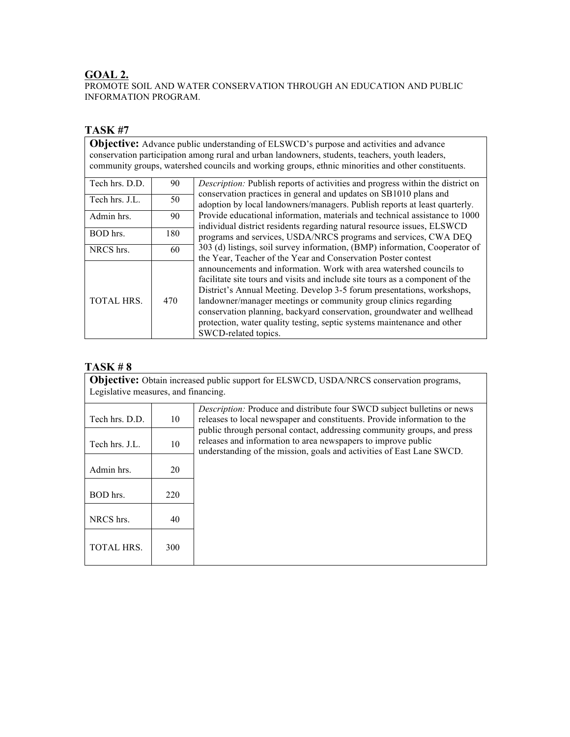## **GOAL 2.**

PROMOTE SOIL AND WATER CONSERVATION THROUGH AN EDUCATION AND PUBLIC INFORMATION PROGRAM.

# **TASK #7**

**Objective:** Advance public understanding of ELSWCD's purpose and activities and advance conservation participation among rural and urban landowners, students, teachers, youth leaders, community groups, watershed councils and working groups, ethnic minorities and other constituents.

| Tech hrs. D.D.    | 90  | <i>Description:</i> Publish reports of activities and progress within the district on<br>conservation practices in general and updates on SB1010 plans and<br>adoption by local landowners/managers. Publish reports at least quarterly.<br>Provide educational information, materials and technical assistance to 1000<br>individual district residents regarding natural resource issues, ELSWCD<br>programs and services, USDA/NRCS programs and services, CWA DEQ<br>303 (d) listings, soil survey information, (BMP) information, Cooperator of<br>the Year, Teacher of the Year and Conservation Poster contest<br>announcements and information. Work with area watershed councils to<br>facilitate site tours and visits and include site tours as a component of the<br>District's Annual Meeting. Develop 3-5 forum presentations, workshops,<br>landowner/manager meetings or community group clinics regarding<br>conservation planning, backyard conservation, groundwater and wellhead<br>protection, water quality testing, septic systems maintenance and other<br>SWCD-related topics. |
|-------------------|-----|---------------------------------------------------------------------------------------------------------------------------------------------------------------------------------------------------------------------------------------------------------------------------------------------------------------------------------------------------------------------------------------------------------------------------------------------------------------------------------------------------------------------------------------------------------------------------------------------------------------------------------------------------------------------------------------------------------------------------------------------------------------------------------------------------------------------------------------------------------------------------------------------------------------------------------------------------------------------------------------------------------------------------------------------------------------------------------------------------------|
| Tech hrs. J.L.    | 50  |                                                                                                                                                                                                                                                                                                                                                                                                                                                                                                                                                                                                                                                                                                                                                                                                                                                                                                                                                                                                                                                                                                         |
| Admin hrs.        | 90  |                                                                                                                                                                                                                                                                                                                                                                                                                                                                                                                                                                                                                                                                                                                                                                                                                                                                                                                                                                                                                                                                                                         |
| BOD hrs.          | 180 |                                                                                                                                                                                                                                                                                                                                                                                                                                                                                                                                                                                                                                                                                                                                                                                                                                                                                                                                                                                                                                                                                                         |
| NRCS hrs.         | 60  |                                                                                                                                                                                                                                                                                                                                                                                                                                                                                                                                                                                                                                                                                                                                                                                                                                                                                                                                                                                                                                                                                                         |
| <b>TOTAL HRS.</b> | 470 |                                                                                                                                                                                                                                                                                                                                                                                                                                                                                                                                                                                                                                                                                                                                                                                                                                                                                                                                                                                                                                                                                                         |

| <b>Objective:</b> Obtain increased public support for ELSWCD, USDA/NRCS conservation programs,<br>Legislative measures, and financing. |     |                                                                                                                                                                                                                                       |
|----------------------------------------------------------------------------------------------------------------------------------------|-----|---------------------------------------------------------------------------------------------------------------------------------------------------------------------------------------------------------------------------------------|
| Tech hrs. D.D.                                                                                                                         | 10  | <i>Description:</i> Produce and distribute four SWCD subject bulletins or news<br>releases to local newspaper and constituents. Provide information to the<br>public through personal contact, addressing community groups, and press |
| Tech hrs. J.L.                                                                                                                         | 10  | releases and information to area newspapers to improve public<br>understanding of the mission, goals and activities of East Lane SWCD.                                                                                                |
| Admin hrs.                                                                                                                             | 20  |                                                                                                                                                                                                                                       |
| BOD hrs.                                                                                                                               | 220 |                                                                                                                                                                                                                                       |
| NRCS hrs.                                                                                                                              | 40  |                                                                                                                                                                                                                                       |
| <b>TOTAL HRS.</b>                                                                                                                      | 300 |                                                                                                                                                                                                                                       |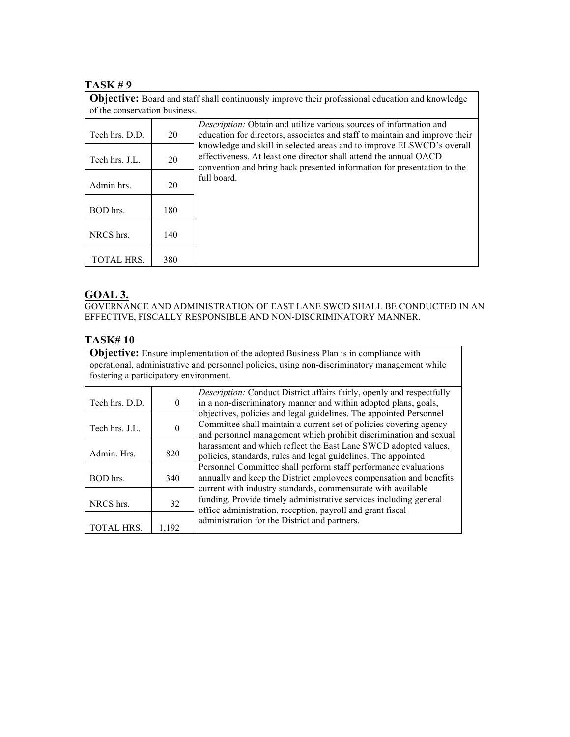#### **TASK # 9**

| of the conservation business. |     | <b>Objective:</b> Board and staff shall continuously improve their professional education and knowledge                                                                                                               |
|-------------------------------|-----|-----------------------------------------------------------------------------------------------------------------------------------------------------------------------------------------------------------------------|
| Tech hrs. D.D.                | 20  | <i>Description:</i> Obtain and utilize various sources of information and<br>education for directors, associates and staff to maintain and improve their                                                              |
| Tech hrs. J.L.                | 20  | knowledge and skill in selected areas and to improve ELSWCD's overall<br>effectiveness. At least one director shall attend the annual OACD<br>convention and bring back presented information for presentation to the |
| Admin hrs.                    | 20  | full board.                                                                                                                                                                                                           |
| BOD hrs.                      | 180 |                                                                                                                                                                                                                       |
| NRCS hrs.                     | 140 |                                                                                                                                                                                                                       |
| TOTAL HRS.                    | 380 |                                                                                                                                                                                                                       |

## **GOAL 3.**

GOVERNANCE AND ADMINISTRATION OF EAST LANE SWCD SHALL BE CONDUCTED IN AN EFFECTIVE, FISCALLY RESPONSIBLE AND NON-DISCRIMINATORY MANNER.

### **TASK# 10**

**Objective:** Ensure implementation of the adopted Business Plan is in compliance with operational, administrative and personnel policies, using non-discriminatory management while fostering a participatory environment.

| Tech hrs. D.D.    | $\bf{0}$ | <i>Description:</i> Conduct District affairs fairly, openly and respectfully<br>in a non-discriminatory manner and within adopted plans, goals,                                                                                                                                                                                                                                           |
|-------------------|----------|-------------------------------------------------------------------------------------------------------------------------------------------------------------------------------------------------------------------------------------------------------------------------------------------------------------------------------------------------------------------------------------------|
| Tech hrs. J.L.    | $\theta$ | objectives, policies and legal guidelines. The appointed Personnel<br>Committee shall maintain a current set of policies covering agency<br>and personnel management which prohibit discrimination and sexual                                                                                                                                                                             |
| Admin. Hrs.       | 820      | harassment and which reflect the East Lane SWCD adopted values,<br>policies, standards, rules and legal guidelines. The appointed                                                                                                                                                                                                                                                         |
| BOD hrs.          | 340      | Personnel Committee shall perform staff performance evaluations<br>annually and keep the District employees compensation and benefits<br>current with industry standards, commensurate with available<br>funding. Provide timely administrative services including general<br>office administration, reception, payroll and grant fiscal<br>administration for the District and partners. |
| NRCS hrs.         | 32       |                                                                                                                                                                                                                                                                                                                                                                                           |
| <b>TOTAL HRS.</b> | 1,192    |                                                                                                                                                                                                                                                                                                                                                                                           |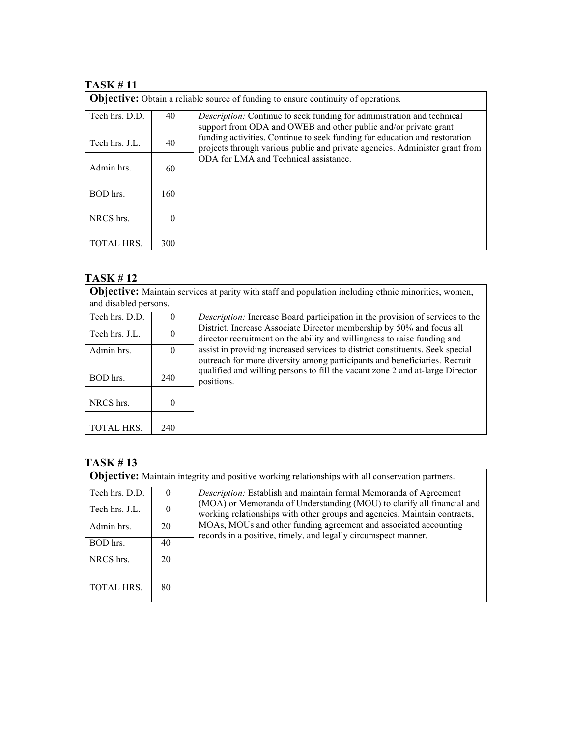# **TASK # 11**

| <b>Objective:</b> Obtain a reliable source of funding to ensure continuity of operations. |     |                                                                                                                                                           |  |
|-------------------------------------------------------------------------------------------|-----|-----------------------------------------------------------------------------------------------------------------------------------------------------------|--|
| Tech hrs. D.D.                                                                            | 40  | <i>Description:</i> Continue to seek funding for administration and technical<br>support from ODA and OWEB and other public and/or private grant          |  |
| Tech hrs. J.L.                                                                            | 40  | funding activities. Continue to seek funding for education and restoration<br>projects through various public and private agencies. Administer grant from |  |
| Admin hrs.                                                                                | 60  | ODA for LMA and Technical assistance.                                                                                                                     |  |
| BOD hrs.                                                                                  | 160 |                                                                                                                                                           |  |
| NRCS hrs.                                                                                 | 0   |                                                                                                                                                           |  |
| <b>TOTAL HRS.</b>                                                                         | 300 |                                                                                                                                                           |  |

# **TASK # 12**

**Objective:** Maintain services at parity with staff and population including ethnic minorities, women, and disabled persons.

| Tech hrs. D.D.    | $\theta$ | <i>Description:</i> Increase Board participation in the provision of services to the<br>District. Increase Associate Director membership by 50% and focus all                                                                                                                                                                         |
|-------------------|----------|---------------------------------------------------------------------------------------------------------------------------------------------------------------------------------------------------------------------------------------------------------------------------------------------------------------------------------------|
| Tech hrs. J.L.    | $\theta$ | director recruitment on the ability and willingness to raise funding and<br>assist in providing increased services to district constituents. Seek special<br>outreach for more diversity among participants and beneficiaries. Recruit<br>qualified and willing persons to fill the vacant zone 2 and at-large Director<br>positions. |
| Admin hrs.        | $\Omega$ |                                                                                                                                                                                                                                                                                                                                       |
| BOD hrs.          | 240      |                                                                                                                                                                                                                                                                                                                                       |
| NRCS hrs.         | 0        |                                                                                                                                                                                                                                                                                                                                       |
| <b>TOTAL HRS.</b> | 240      |                                                                                                                                                                                                                                                                                                                                       |

| <b>Objective:</b> Maintain integrity and positive working relationships with all conservation partners. |          |                                                                                                                                                                                                                                                                                                                                                                |  |
|---------------------------------------------------------------------------------------------------------|----------|----------------------------------------------------------------------------------------------------------------------------------------------------------------------------------------------------------------------------------------------------------------------------------------------------------------------------------------------------------------|--|
| Tech hrs. D.D.                                                                                          | $\theta$ | Description: Establish and maintain formal Memoranda of Agreement<br>(MOA) or Memoranda of Understanding (MOU) to clarify all financial and<br>working relationships with other groups and agencies. Maintain contracts,<br>MOAs, MOUs and other funding agreement and associated accounting<br>records in a positive, timely, and legally circumspect manner. |  |
| Tech hrs. J.L.                                                                                          | $\Omega$ |                                                                                                                                                                                                                                                                                                                                                                |  |
| Admin hrs.                                                                                              | 20       |                                                                                                                                                                                                                                                                                                                                                                |  |
| BOD hrs.                                                                                                | 40       |                                                                                                                                                                                                                                                                                                                                                                |  |
| NRCS hrs.                                                                                               | 20       |                                                                                                                                                                                                                                                                                                                                                                |  |
| <b>TOTAL HRS.</b>                                                                                       | 80       |                                                                                                                                                                                                                                                                                                                                                                |  |